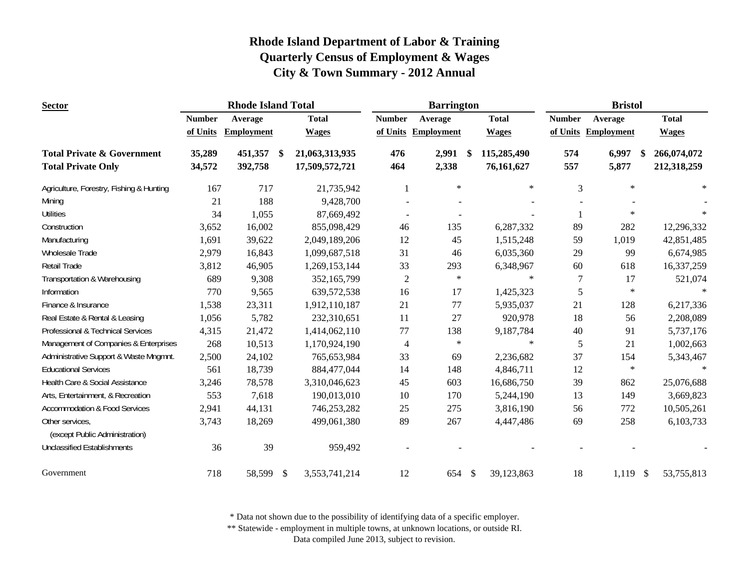| <b>Sector</b>                                     |               | <b>Rhode Island Total</b> |                           |                | <b>Barrington</b> |                     |                           | <b>Bristol</b> |               |                     |              |
|---------------------------------------------------|---------------|---------------------------|---------------------------|----------------|-------------------|---------------------|---------------------------|----------------|---------------|---------------------|--------------|
|                                                   | <b>Number</b> | Average                   |                           | <b>Total</b>   | <b>Number</b>     | Average             |                           | <b>Total</b>   | <b>Number</b> | Average             | <b>Total</b> |
|                                                   | of Units      | <b>Employment</b>         |                           | <b>Wages</b>   |                   | of Units Employment |                           | <b>Wages</b>   |               | of Units Employment | <b>Wages</b> |
| <b>Total Private &amp; Government</b>             | 35,289        | 451,357                   | -\$                       | 21,063,313,935 | 476               | 2,991               | -S                        | 115,285,490    | 574           | 6,997<br>S.         | 266,074,072  |
| <b>Total Private Only</b>                         | 34,572        | 392,758                   |                           | 17,509,572,721 | 464               | 2,338               |                           | 76,161,627     | 557           | 5,877               | 212,318,259  |
| Agriculture, Forestry, Fishing & Hunting          | 167           | 717                       |                           | 21,735,942     | 1                 | $\ast$              |                           | $\ast$         | 3             | $\ast$              | $\ast$       |
| Mining                                            | 21            | 188                       |                           | 9,428,700      |                   |                     |                           |                |               |                     |              |
| <b>Utilities</b>                                  | 34            | 1,055                     |                           | 87,669,492     |                   |                     |                           |                |               | $\ast$              |              |
| Construction                                      | 3,652         | 16,002                    |                           | 855,098,429    | 46                | 135                 |                           | 6,287,332      | 89            | 282                 | 12,296,332   |
| Manufacturing                                     | 1,691         | 39,622                    |                           | 2,049,189,206  | 12                | 45                  |                           | 1,515,248      | 59            | 1,019               | 42,851,485   |
| Wholesale Trade                                   | 2,979         | 16,843                    |                           | 1,099,687,518  | 31                | 46                  |                           | 6,035,360      | 29            | 99                  | 6,674,985    |
| Retail Trade                                      | 3,812         | 46,905                    |                           | 1,269,153,144  | 33                | 293                 |                           | 6,348,967      | 60            | 618                 | 16,337,259   |
| Transportation & Warehousing                      | 689           | 9,308                     |                           | 352,165,799    | $\overline{c}$    | $\ast$              |                           | $\ast$         | 7             | 17                  | 521,074      |
| Information                                       | 770           | 9,565                     |                           | 639, 572, 538  | 16                | 17                  |                           | 1,425,323      | 5             | $\ast$              |              |
| Finance & Insurance                               | 1,538         | 23,311                    |                           | 1,912,110,187  | 21                | 77                  |                           | 5,935,037      | 21            | 128                 | 6,217,336    |
| Real Estate & Rental & Leasing                    | 1,056         | 5,782                     |                           | 232,310,651    | 11                | 27                  |                           | 920,978        | 18            | 56                  | 2,208,089    |
| Professional & Technical Services                 | 4,315         | 21,472                    |                           | 1,414,062,110  | 77                | 138                 |                           | 9,187,784      | 40            | 91                  | 5,737,176    |
| Management of Companies & Enterprises             | 268           | 10,513                    |                           | 1,170,924,190  | $\overline{4}$    | $\ast$              |                           | $\ast$         | 5             | 21                  | 1,002,663    |
| Administrative Support & Waste Mngmnt.            | 2,500         | 24,102                    |                           | 765,653,984    | 33                | 69                  |                           | 2,236,682      | 37            | 154                 | 5,343,467    |
| <b>Educational Services</b>                       | 561           | 18,739                    |                           | 884,477,044    | 14                | 148                 |                           | 4,846,711      | 12            | $\ast$              | $\ast$       |
| Health Care & Social Assistance                   | 3,246         | 78,578                    |                           | 3,310,046,623  | 45                | 603                 |                           | 16,686,750     | 39            | 862                 | 25,076,688   |
| Arts, Entertainment, & Recreation                 | 553           | 7,618                     |                           | 190,013,010    | 10                | 170                 |                           | 5,244,190      | 13            | 149                 | 3,669,823    |
| <b>Accommodation &amp; Food Services</b>          | 2,941         | 44,131                    |                           | 746,253,282    | 25                | 275                 |                           | 3,816,190      | 56            | 772                 | 10,505,261   |
| Other services,<br>(except Public Administration) | 3,743         | 18,269                    |                           | 499,061,380    | 89                | 267                 |                           | 4,447,486      | 69            | 258                 | 6,103,733    |
| <b>Unclassified Establishments</b>                | 36            | 39                        |                           | 959,492        |                   |                     |                           |                |               |                     |              |
| Government                                        | 718           | 58,599                    | $\boldsymbol{\mathsf{S}}$ | 3,553,741,214  | 12                | 654                 | $\boldsymbol{\mathsf{S}}$ | 39,123,863     | 18            | $1,119$ \$          | 53,755,813   |

\* Data not shown due to the possibility of identifying data of a specific employer.

\*\* Statewide - employment in multiple towns, at unknown locations, or outside RI.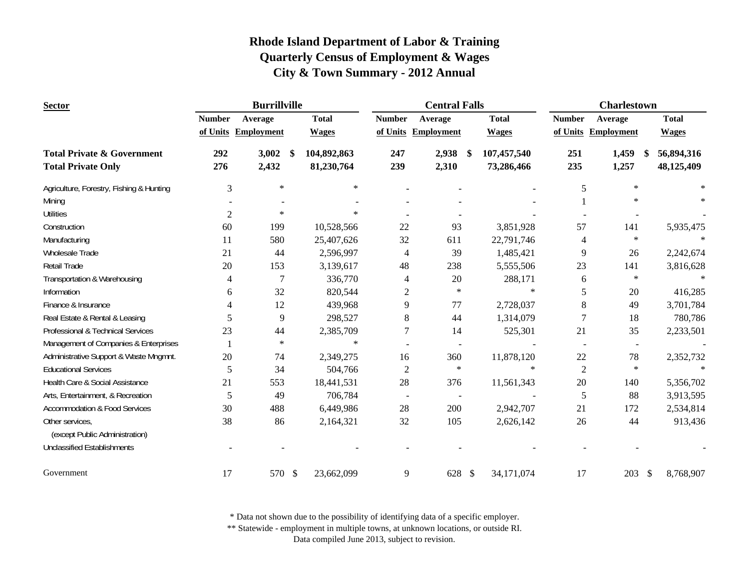| <b>Sector</b>                            |                | <b>Burrillville</b> |              |                | <b>Central Falls</b> |              | <b>Charlestown</b>       |                          |                            |
|------------------------------------------|----------------|---------------------|--------------|----------------|----------------------|--------------|--------------------------|--------------------------|----------------------------|
|                                          | <b>Number</b>  | Average             | <b>Total</b> | <b>Number</b>  | Average              | <b>Total</b> | <b>Number</b>            | Average                  | <b>Total</b>               |
|                                          |                | of Units Employment | <b>Wages</b> |                | of Units Employment  | <b>Wages</b> |                          | of Units Employment      | <b>Wages</b>               |
| <b>Total Private &amp; Government</b>    | 292            | 3,002<br>-S         | 104,892,863  | 247            | $2,938$ \$           | 107,457,540  | 251                      | 1,459<br>-S              | 56,894,316                 |
| <b>Total Private Only</b>                | 276            | 2,432               | 81,230,764   | 239            | 2,310                | 73,286,466   | 235                      | 1,257                    | 48,125,409                 |
| Agriculture, Forestry, Fishing & Hunting | 3              | $\ast$              | $\ast$       |                |                      |              | 5                        | $\ast$                   | $\ast$                     |
| Mining                                   |                |                     |              |                |                      |              |                          | $\ast$                   |                            |
| <b>Utilities</b>                         | $\overline{c}$ | $\ast$              | $\ast$       |                |                      |              |                          |                          |                            |
| Construction                             | 60             | 199                 | 10,528,566   | 22             | 93                   | 3,851,928    | 57                       | 141                      | 5,935,475                  |
| Manufacturing                            | 11             | 580                 | 25,407,626   | 32             | 611                  | 22,791,746   | 4                        | $\ast$                   |                            |
| Wholesale Trade                          | 21             | 44                  | 2,596,997    | 4              | 39                   | 1,485,421    | 9                        | 26                       | 2,242,674                  |
| <b>Retail Trade</b>                      | 20             | 153                 | 3,139,617    | 48             | 238                  | 5,555,506    | 23                       | 141                      | 3,816,628                  |
| Transportation & Warehousing             | 4              | 7                   | 336,770      | 4              | 20                   | 288,171      | 6                        | $\ast$                   |                            |
| Information                              | 6              | 32                  | 820,544      | $\overline{2}$ | $\ast$               | $\ast$       | 5                        | 20                       | 416,285                    |
| Finance & Insurance                      | 4              | 12                  | 439,968      | 9              | 77                   | 2,728,037    | 8                        | 49                       | 3,701,784                  |
| Real Estate & Rental & Leasing           | 5              | 9                   | 298,527      | 8              | 44                   | 1,314,079    | 7                        | 18                       | 780,786                    |
| Professional & Technical Services        | 23             | 44                  | 2,385,709    |                | 14                   | 525,301      | 21                       | 35                       | 2,233,501                  |
| Management of Companies & Enterprises    |                | $\ast$              | $\ast$       |                |                      |              | $\overline{\phantom{a}}$ | $\overline{\phantom{a}}$ |                            |
| Administrative Support & Waste Mngmnt.   | 20             | 74                  | 2,349,275    | 16             | 360                  | 11,878,120   | 22                       | 78                       | 2,352,732                  |
| <b>Educational Services</b>              | 5              | 34                  | 504,766      | $\overline{c}$ | $\ast$               | $\ast$       | $\overline{2}$           | $\ast$                   |                            |
| Health Care & Social Assistance          | 21             | 553                 | 18,441,531   | 28             | 376                  | 11,561,343   | 20                       | 140                      | 5,356,702                  |
| Arts, Entertainment, & Recreation        | 5              | 49                  | 706,784      | $\blacksquare$ |                      |              | 5                        | 88                       | 3,913,595                  |
| <b>Accommodation &amp; Food Services</b> | 30             | 488                 | 6,449,986    | 28             | 200                  | 2,942,707    | 21                       | 172                      | 2,534,814                  |
| Other services,                          | 38             | 86                  | 2,164,321    | 32             | 105                  | 2,626,142    | 26                       | 44                       | 913,436                    |
| (except Public Administration)           |                |                     |              |                |                      |              |                          |                          |                            |
| <b>Unclassified Establishments</b>       |                |                     |              |                |                      |              |                          |                          |                            |
| Government                               | 17             | 570 \$              | 23,662,099   | 9              | 628 \$               | 34,171,074   | 17                       | 203                      | 8,768,907<br>$\mathcal{S}$ |

\* Data not shown due to the possibility of identifying data of a specific employer.

\*\* Statewide - employment in multiple towns, at unknown locations, or outside RI.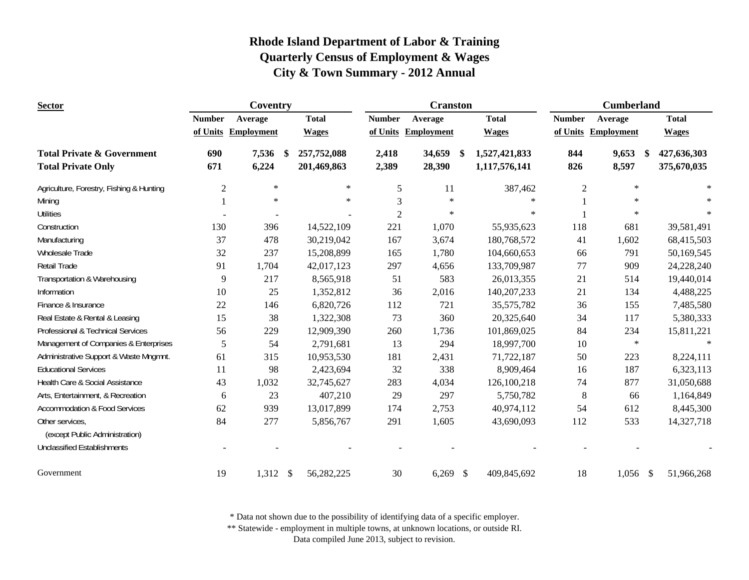| <b>Sector</b>                                                      | Coventry       |                   |            |                            | <b>Cranston</b> |                     |    |                                | <b>Cumberland</b> |                      |  |                            |
|--------------------------------------------------------------------|----------------|-------------------|------------|----------------------------|-----------------|---------------------|----|--------------------------------|-------------------|----------------------|--|----------------------------|
|                                                                    | <b>Number</b>  | Average           |            | <b>Total</b>               | <b>Number</b>   | Average             |    | <b>Total</b>                   | <b>Number</b>     | Average              |  | <b>Total</b>               |
|                                                                    | of Units       | <b>Employment</b> |            | <b>Wages</b>               |                 | of Units Employment |    | <b>Wages</b>                   |                   | of Units Employment  |  | <b>Wages</b>               |
| <b>Total Private &amp; Government</b><br><b>Total Private Only</b> | 690<br>671     | 7,536<br>6,224    | -\$        | 257,752,088<br>201,469,863 | 2,418<br>2,389  | 34,659<br>28,390    | -S | 1,527,421,833<br>1,117,576,141 | 844<br>826        | 9,653<br>\$<br>8,597 |  | 427,636,303<br>375,670,035 |
| Agriculture, Forestry, Fishing & Hunting                           | $\overline{2}$ | $\ast$            |            | $\ast$                     | 5               | 11                  |    | 387,462                        | $\mathfrak{2}$    | $\ast$               |  | $\ast$                     |
| Mining                                                             |                | $\ast$            |            | $\ast$                     | 3               | $\ast$              |    | $\ast$                         |                   | $\ast$               |  |                            |
| <b>Utilities</b>                                                   |                |                   |            |                            | $\overline{2}$  | $\ast$              |    | $\ast$                         |                   | $\ast$               |  |                            |
| Construction                                                       | 130            | 396               |            | 14,522,109                 | 221             | 1,070               |    | 55,935,623                     | 118               | 681                  |  | 39,581,491                 |
| Manufacturing                                                      | 37             | 478               |            | 30,219,042                 | 167             | 3,674               |    | 180,768,572                    | 41                | 1,602                |  | 68,415,503                 |
| Wholesale Trade                                                    | 32             | 237               |            | 15,208,899                 | 165             | 1,780               |    | 104,660,653                    | 66                | 791                  |  | 50,169,545                 |
| <b>Retail Trade</b>                                                | 91             | 1,704             |            | 42,017,123                 | 297             | 4,656               |    | 133,709,987                    | 77                | 909                  |  | 24,228,240                 |
| Transportation & Warehousing                                       | 9              | 217               |            | 8,565,918                  | 51              | 583                 |    | 26,013,355                     | 21                | 514                  |  | 19,440,014                 |
| Information                                                        | 10             | 25                |            | 1,352,812                  | 36              | 2,016               |    | 140,207,233                    | 21                | 134                  |  | 4,488,225                  |
| Finance & Insurance                                                | 22             | 146               |            | 6,820,726                  | 112             | 721                 |    | 35,575,782                     | 36                | 155                  |  | 7,485,580                  |
| Real Estate & Rental & Leasing                                     | 15             | 38                |            | 1,322,308                  | 73              | 360                 |    | 20,325,640                     | 34                | 117                  |  | 5,380,333                  |
| Professional & Technical Services                                  | 56             | 229               |            | 12,909,390                 | 260             | 1,736               |    | 101,869,025                    | 84                | 234                  |  | 15,811,221                 |
| Management of Companies & Enterprises                              | 5              | 54                |            | 2,791,681                  | 13              | 294                 |    | 18,997,700                     | 10                | $\ast$               |  | $\ast$                     |
| Administrative Support & Waste Mngmnt.                             | 61             | 315               |            | 10,953,530                 | 181             | 2,431               |    | 71,722,187                     | 50                | 223                  |  | 8,224,111                  |
| <b>Educational Services</b>                                        | 11             | 98                |            | 2,423,694                  | 32              | 338                 |    | 8,909,464                      | 16                | 187                  |  | 6,323,113                  |
| Health Care & Social Assistance                                    | 43             | 1,032             |            | 32,745,627                 | 283             | 4,034               |    | 126,100,218                    | 74                | 877                  |  | 31,050,688                 |
| Arts, Entertainment, & Recreation                                  | 6              | 23                |            | 407,210                    | 29              | 297                 |    | 5,750,782                      | $\,8\,$           | 66                   |  | 1,164,849                  |
| <b>Accommodation &amp; Food Services</b>                           | 62             | 939               |            | 13,017,899                 | 174             | 2,753               |    | 40,974,112                     | 54                | 612                  |  | 8,445,300                  |
| Other services,<br>(except Public Administration)                  | 84             | 277               |            | 5,856,767                  | 291             | 1,605               |    | 43,690,093                     | 112               | 533                  |  | 14,327,718                 |
| <b>Unclassified Establishments</b>                                 |                |                   |            |                            |                 |                     |    |                                |                   |                      |  |                            |
| Government                                                         | 19             | 1,312             | $\sqrt{S}$ | 56,282,225                 | 30              | $6,269$ \$          |    | 409,845,692                    | 18                | $1,056$ \$           |  | 51,966,268                 |

\* Data not shown due to the possibility of identifying data of a specific employer.

\*\* Statewide - employment in multiple towns, at unknown locations, or outside RI.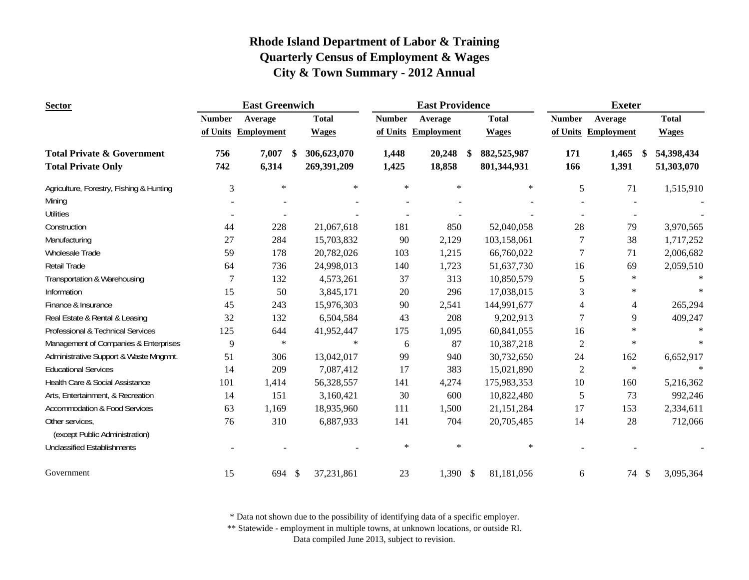| <b>Sector</b>                            |               | <b>East Greenwich</b> |                              |               | <b>East Providence</b> |              | <b>Exeter</b>  |                     |              |
|------------------------------------------|---------------|-----------------------|------------------------------|---------------|------------------------|--------------|----------------|---------------------|--------------|
|                                          | <b>Number</b> | Average               | <b>Total</b>                 | <b>Number</b> | Average                | <b>Total</b> | <b>Number</b>  | Average             | <b>Total</b> |
|                                          |               | of Units Employment   | <b>Wages</b>                 |               | of Units Employment    | <b>Wages</b> |                | of Units Employment | <b>Wages</b> |
| <b>Total Private &amp; Government</b>    | 756           | 7,007                 | 306,623,070<br><sup>\$</sup> | 1,448         | 20,248                 | 882,525,987  | 171            | 1,465<br>-\$        | 54,398,434   |
| <b>Total Private Only</b>                | 742           | 6,314                 | 269,391,209                  | 1,425         | 18,858                 | 801,344,931  | 166            | 1,391               | 51,303,070   |
| Agriculture, Forestry, Fishing & Hunting | 3             | $\ast$                | $\ast$                       | $\ast$        | $\ast$                 | $\ast$       | 5              | 71                  | 1,515,910    |
| Mining                                   |               |                       |                              |               |                        |              |                |                     |              |
| <b>Utilities</b>                         |               |                       |                              |               |                        |              |                |                     |              |
| Construction                             | 44            | 228                   | 21,067,618                   | 181           | 850                    | 52,040,058   | 28             | 79                  | 3,970,565    |
| Manufacturing                            | 27            | 284                   | 15,703,832                   | 90            | 2,129                  | 103,158,061  | 7              | 38                  | 1,717,252    |
| Wholesale Trade                          | 59            | 178                   | 20,782,026                   | 103           | 1,215                  | 66,760,022   | 7              | 71                  | 2,006,682    |
| Retail Trade                             | 64            | 736                   | 24,998,013                   | 140           | 1,723                  | 51,637,730   | 16             | 69                  | 2,059,510    |
| Transportation & Warehousing             | 7             | 132                   | 4,573,261                    | 37            | 313                    | 10,850,579   | 5              | $\ast$              |              |
| Information                              | 15            | 50                    | 3,845,171                    | $20\,$        | 296                    | 17,038,015   | 3              | $\ast$              |              |
| Finance & Insurance                      | 45            | 243                   | 15,976,303                   | 90            | 2,541                  | 144,991,677  | 4              | $\overline{4}$      | 265,294      |
| Real Estate & Rental & Leasing           | 32            | 132                   | 6,504,584                    | 43            | 208                    | 9,202,913    | 7              | 9                   | 409,247      |
| Professional & Technical Services        | 125           | 644                   | 41,952,447                   | 175           | 1,095                  | 60,841,055   | 16             | $\star$             | $\ast$       |
| Management of Companies & Enterprises    | 9             | $\ast$                | $\ast$                       | 6             | 87                     | 10,387,218   | $\mathbf{2}$   | $\ast$              | $\ast$       |
| Administrative Support & Waste Mngmnt.   | 51            | 306                   | 13,042,017                   | 99            | 940                    | 30,732,650   | 24             | 162                 | 6,652,917    |
| <b>Educational Services</b>              | 14            | 209                   | 7,087,412                    | 17            | 383                    | 15,021,890   | $\mathfrak{2}$ | $\ast$              | $\ast$       |
| Health Care & Social Assistance          | 101           | 1,414                 | 56,328,557                   | 141           | 4,274                  | 175,983,353  | 10             | 160                 | 5,216,362    |
| Arts, Entertainment, & Recreation        | 14            | 151                   | 3,160,421                    | 30            | 600                    | 10,822,480   | 5              | 73                  | 992,246      |
| <b>Accommodation &amp; Food Services</b> | 63            | 1,169                 | 18,935,960                   | 111           | 1,500                  | 21,151,284   | 17             | 153                 | 2,334,611    |
| Other services,                          | 76            | 310                   | 6,887,933                    | 141           | 704                    | 20,705,485   | 14             | 28                  | 712,066      |
| (except Public Administration)           |               |                       |                              |               |                        |              |                |                     |              |
| <b>Unclassified Establishments</b>       |               |                       |                              | $\ast$        | $\ast$                 | $\ast$       |                |                     |              |
| Government                               | 15            | 694                   | 37,231,861<br>-\$            | 23            | $1,390$ \$             | 81,181,056   | 6              | 74<br>\$            | 3,095,364    |

\* Data not shown due to the possibility of identifying data of a specific employer.

\*\* Statewide - employment in multiple towns, at unknown locations, or outside RI.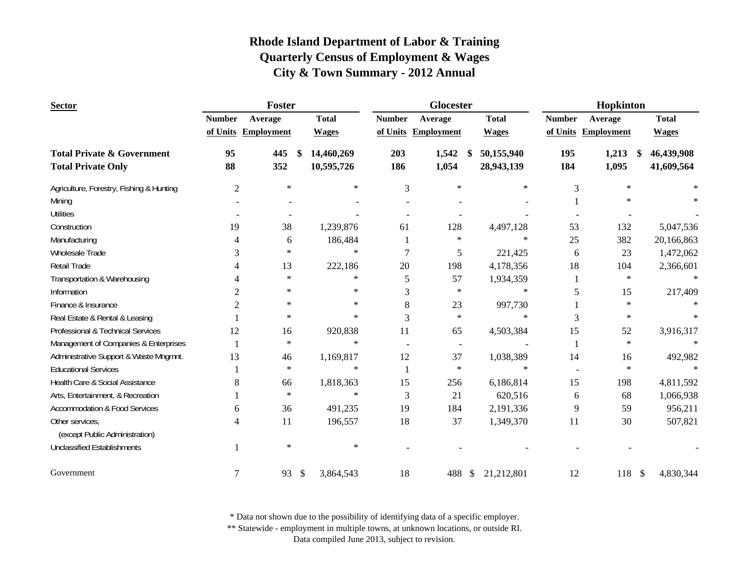| <b>Sector</b>                                     |                | Foster              |                  |               | Glocester                |                             | Hopkinton     |                     |              |
|---------------------------------------------------|----------------|---------------------|------------------|---------------|--------------------------|-----------------------------|---------------|---------------------|--------------|
|                                                   | <b>Number</b>  | Average             | <b>Total</b>     | <b>Number</b> | Average                  | <b>Total</b>                | <b>Number</b> | Average             | <b>Total</b> |
|                                                   |                | of Units Employment | <b>Wages</b>     |               | of Units Employment      | <b>Wages</b>                |               | of Units Employment | <b>Wages</b> |
| <b>Total Private &amp; Government</b>             | 95             | 445                 | \$<br>14,460,269 | 203           | 1,542<br>S.              | 50,155,940                  | 195           | 1,213<br>\$         | 46,439,908   |
| <b>Total Private Only</b>                         | 88             | 352                 | 10,595,726       | 186           | 1,054                    | 28,943,139                  | 184           | 1,095               | 41,609,564   |
| Agriculture, Forestry, Fishing & Hunting          | $\overline{2}$ | $\ast$              | $\ast$           | 3             | $\ast$                   | $\ast$                      | 3             | $\ast$              | $\ast$       |
| Mining                                            |                |                     |                  |               |                          |                             |               | $\ast$              |              |
| <b>Utilities</b>                                  |                |                     |                  |               |                          |                             |               |                     |              |
| Construction                                      | 19             | 38                  | 1,239,876        | 61            | 128                      | 4,497,128                   | 53            | 132                 | 5,047,536    |
| Manufacturing                                     | 4              | 6                   | 186,484          |               | $\ast$                   | $\ast$                      | 25            | 382                 | 20,166,863   |
| Wholesale Trade                                   | 3              | $\ast$              | $\ast$           | 7             | 5                        | 221,425                     | 6             | 23                  | 1,472,062    |
| <b>Retail Trade</b>                               | 4              | 13                  | 222,186          | 20            | 198                      | 4,178,356                   | 18            | 104                 | 2,366,601    |
| Transportation & Warehousing                      | 4              | $\ast$              | $\ast$           | 5             | 57                       | 1,934,359                   |               | $\star$             |              |
| Information                                       | 2              | $\ast$              | $\ast$           | 3             | $\ast$                   | $\ast$                      | 5             | 15                  | 217,409      |
| Finance & Insurance                               | $\overline{c}$ | $\ast$              | $\ast$           | 8             | 23                       | 997,730                     |               | $\ast$              |              |
| Real Estate & Rental & Leasing                    |                | $\ast$              | $\ast$           | 3             | $\ast$                   | $\ast$                      | 3             | $\ast$              |              |
| Professional & Technical Services                 | 12             | 16                  | 920,838          | 11            | 65                       | 4,503,384                   | 15            | 52                  | 3,916,317    |
| Management of Companies & Enterprises             |                | $\star$             | $\ast$           |               | $\overline{\phantom{a}}$ |                             |               | $\star$             | $\ast$       |
| Administrative Support & Waste Mngmnt.            | 13             | 46                  | 1,169,817        | 12            | 37                       | 1,038,389                   | 14            | 16                  | 492,982      |
| <b>Educational Services</b>                       |                | $\star$             | $\ast$           |               | $\star$                  | $\ast$                      |               | $\ast$              | $\ast$       |
| Health Care & Social Assistance                   | 8              | 66                  | 1,818,363        | 15            | 256                      | 6,186,814                   | 15            | 198                 | 4,811,592    |
| Arts, Entertainment, & Recreation                 |                | $\ast$              | $\ast$           | 3             | 21                       | 620,516                     | 6             | 68                  | 1,066,938    |
| <b>Accommodation &amp; Food Services</b>          | 6              | 36                  | 491,235          | 19            | 184                      | 2,191,336                   | 9             | 59                  | 956,211      |
| Other services,<br>(except Public Administration) | 4              | 11                  | 196,557          | 18            | 37                       | 1,349,370                   | 11            | 30                  | 507,821      |
| <b>Unclassified Establishments</b>                |                | $\ast$              | $\ast$           |               |                          |                             |               |                     |              |
|                                                   |                |                     |                  |               |                          |                             |               |                     |              |
| Government                                        | $\overline{7}$ | 93                  | \$<br>3,864,543  | 18            | 488                      | 21,212,801<br>$\mathcal{S}$ | 12            | 118S                | 4,830,344    |

\* Data not shown due to the possibility of identifying data of a specific employer.

\*\* Statewide - employment in multiple towns, at unknown locations, or outside RI.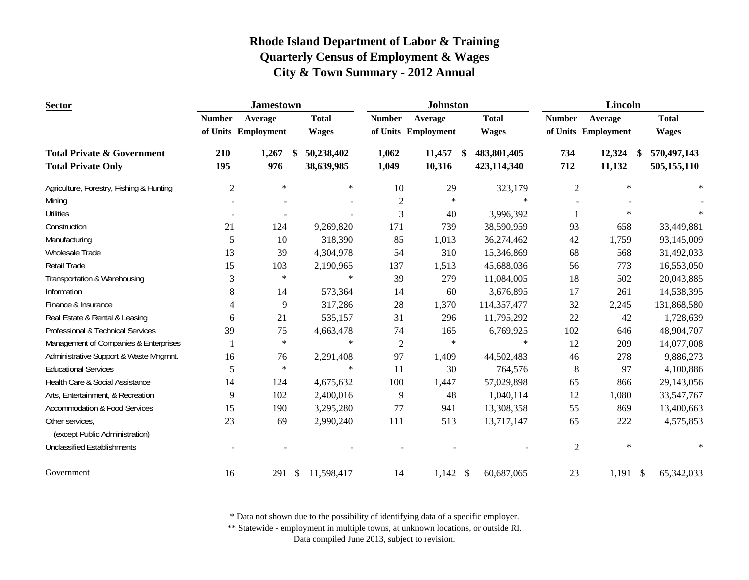| <b>Sector</b>                            |                | <b>Jamestown</b>    |                             |               | <b>Johnston</b>   |                   | <b>Lincoln</b> |                   |                                  |  |
|------------------------------------------|----------------|---------------------|-----------------------------|---------------|-------------------|-------------------|----------------|-------------------|----------------------------------|--|
|                                          | <b>Number</b>  | Average             | <b>Total</b>                | <b>Number</b> | Average           | <b>Total</b>      | <b>Number</b>  | Average           | <b>Total</b>                     |  |
|                                          |                | of Units Employment | <b>Wages</b>                | of Units      | <b>Employment</b> | <b>Wages</b>      | of Units       | <b>Employment</b> | <b>Wages</b>                     |  |
| <b>Total Private &amp; Government</b>    | 210            | 1,267               | 50,238,402<br><sup>\$</sup> | 1,062         | 11,457            | 483,801,405<br>\$ | 734            | 12,324            | 570,497,143<br>$\boldsymbol{\$}$ |  |
| <b>Total Private Only</b>                | 195            | 976                 | 38,639,985                  | 1,049         | 10,316            | 423,114,340       | 712            | 11,132            | 505,155,110                      |  |
| Agriculture, Forestry, Fishing & Hunting | $\mathfrak{2}$ | $\star$             | $\ast$                      | 10            | 29                | 323,179           | $\mathbf{2}$   | $\ast$            | $\ast$                           |  |
| Mining                                   |                |                     |                             | $\sqrt{2}$    | $\ast$            | $\ast$            |                |                   |                                  |  |
| <b>Utilities</b>                         |                | $\blacksquare$      |                             | 3             | 40                | 3,996,392         |                | $\ast$            |                                  |  |
| Construction                             | 21             | 124                 | 9,269,820                   | 171           | 739               | 38,590,959        | 93             | 658               | 33,449,881                       |  |
| Manufacturing                            | 5              | 10                  | 318,390                     | 85            | 1,013             | 36,274,462        | 42             | 1,759             | 93,145,009                       |  |
| <b>Wholesale Trade</b>                   | 13             | 39                  | 4,304,978                   | 54            | 310               | 15,346,869        | 68             | 568               | 31,492,033                       |  |
| Retail Trade                             | 15             | 103                 | 2,190,965                   | 137           | 1,513             | 45,688,036        | 56             | 773               | 16,553,050                       |  |
| Transportation & Warehousing             | 3              | $\ast$              | $\ast$                      | 39            | 279               | 11,084,005        | 18             | 502               | 20,043,885                       |  |
| Information                              | 8              | 14                  | 573,364                     | 14            | 60                | 3,676,895         | 17             | 261               | 14,538,395                       |  |
| Finance & Insurance                      | $\overline{4}$ | 9                   | 317,286                     | 28            | 1,370             | 114,357,477       | 32             | 2,245             | 131,868,580                      |  |
| Real Estate & Rental & Leasing           | 6              | 21                  | 535,157                     | 31            | 296               | 11,795,292        | 22             | 42                | 1,728,639                        |  |
| Professional & Technical Services        | 39             | 75                  | 4,663,478                   | 74            | 165               | 6,769,925         | 102            | 646               | 48,904,707                       |  |
| Management of Companies & Enterprises    |                | $\ast$              | $\ast$                      | $\sqrt{2}$    | $\ast$            | $\ast$            | 12             | 209               | 14,077,008                       |  |
| Administrative Support & Waste Mngmnt.   | 16             | 76                  | 2,291,408                   | 97            | 1,409             | 44,502,483        | 46             | 278               | 9,886,273                        |  |
| <b>Educational Services</b>              | 5              | $\ast$              | $\ast$                      | 11            | 30                | 764,576           | $8\,$          | 97                | 4,100,886                        |  |
| Health Care & Social Assistance          | 14             | 124                 | 4,675,632                   | 100           | 1,447             | 57,029,898        | 65             | 866               | 29,143,056                       |  |
| Arts, Entertainment, & Recreation        | 9              | 102                 | 2,400,016                   | 9             | 48                | 1,040,114         | 12             | 1,080             | 33,547,767                       |  |
| Accommodation & Food Services            | 15             | 190                 | 3,295,280                   | 77            | 941               | 13,308,358        | 55             | 869               | 13,400,663                       |  |
| Other services,                          | 23             | 69                  | 2,990,240                   | 111           | 513               | 13,717,147        | 65             | 222               | 4,575,853                        |  |
| (except Public Administration)           |                |                     |                             |               |                   |                   |                |                   |                                  |  |
| <b>Unclassified Establishments</b>       |                |                     |                             |               |                   |                   | $\mathbf{2}$   | $\ast$            | $\ast$                           |  |
| Government                               | 16             | 291                 | $\mathcal{S}$<br>11,598,417 | 14            | $1,142$ \$        | 60,687,065        | 23             | $1,191$ \$        | 65,342,033                       |  |

\* Data not shown due to the possibility of identifying data of a specific employer.

\*\* Statewide - employment in multiple towns, at unknown locations, or outside RI.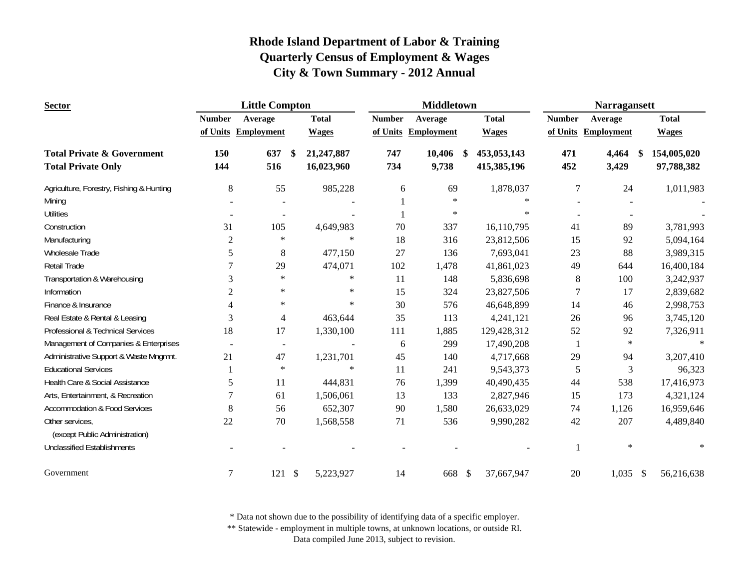| <b>Sector</b>                            |                | <b>Little Compton</b>    |                            |               | <b>Middletown</b>   |                              | <b>Narragansett</b> |                     |              |
|------------------------------------------|----------------|--------------------------|----------------------------|---------------|---------------------|------------------------------|---------------------|---------------------|--------------|
|                                          | <b>Number</b>  | Average                  | <b>Total</b>               | <b>Number</b> | Average             | <b>Total</b>                 | <b>Number</b>       | Average             | <b>Total</b> |
|                                          |                | of Units Employment      | <b>Wages</b>               |               | of Units Employment | <b>Wages</b>                 |                     | of Units Employment | <b>Wages</b> |
| <b>Total Private &amp; Government</b>    | 150            | 637                      | 21,247,887<br>S.           | 747           | 10,406              | 453,053,143<br><sup>\$</sup> | 471                 | 4,464<br>\$         | 154,005,020  |
| <b>Total Private Only</b>                | 144            | 516                      | 16,023,960                 | 734           | 9,738               | 415,385,196                  | 452                 | 3,429               | 97,788,382   |
| Agriculture, Forestry, Fishing & Hunting | 8              | 55                       | 985,228                    | 6             | 69                  | 1,878,037                    | 7                   | 24                  | 1,011,983    |
| Mining                                   |                |                          |                            |               | $\ast$              | $\ast$                       |                     |                     |              |
| <b>Utilities</b>                         |                | $\sim$                   |                            |               | $\ast$              | $\ast$                       |                     |                     |              |
| Construction                             | 31             | 105                      | 4,649,983                  | 70            | 337                 | 16,110,795                   | 41                  | 89                  | 3,781,993    |
| Manufacturing                            | $\overline{2}$ | $\ast$                   | $\star$                    | 18            | 316                 | 23,812,506                   | 15                  | 92                  | 5,094,164    |
| Wholesale Trade                          | 5              | 8                        | 477,150                    | 27            | 136                 | 7,693,041                    | 23                  | 88                  | 3,989,315    |
| Retail Trade                             | 7              | 29                       | 474,071                    | 102           | 1,478               | 41,861,023                   | 49                  | 644                 | 16,400,184   |
| Transportation & Warehousing             | 3              | $\ast$                   | $\ast$                     | 11            | 148                 | 5,836,698                    | $\,8\,$             | 100                 | 3,242,937    |
| Information                              | $\overline{2}$ | $\ast$                   | $\ast$                     | 15            | 324                 | 23,827,506                   | 7                   | 17                  | 2,839,682    |
| Finance & Insurance                      | 4              | $\ast$                   | $\ast$                     | 30            | 576                 | 46,648,899                   | 14                  | 46                  | 2,998,753    |
| Real Estate & Rental & Leasing           | 3              | 4                        | 463,644                    | 35            | 113                 | 4,241,121                    | 26                  | 96                  | 3,745,120    |
| Professional & Technical Services        | 18             | 17                       | 1,330,100                  | 111           | 1,885               | 129,428,312                  | 52                  | 92                  | 7,326,911    |
| Management of Companies & Enterprises    |                | $\overline{\phantom{a}}$ |                            | 6             | 299                 | 17,490,208                   |                     | $\ast$              | $\ast$       |
| Administrative Support & Waste Mngmnt.   | 21             | 47                       | 1,231,701                  | 45            | 140                 | 4,717,668                    | 29                  | 94                  | 3,207,410    |
| <b>Educational Services</b>              |                | $\ast$                   | $\ast$                     | 11            | 241                 | 9,543,373                    | 5                   | 3                   | 96,323       |
| Health Care & Social Assistance          | 5              | 11                       | 444,831                    | 76            | 1,399               | 40,490,435                   | 44                  | 538                 | 17,416,973   |
| Arts, Entertainment, & Recreation        | $\overline{7}$ | 61                       | 1,506,061                  | 13            | 133                 | 2,827,946                    | 15                  | 173                 | 4,321,124    |
| <b>Accommodation &amp; Food Services</b> | 8              | 56                       | 652,307                    | 90            | 1,580               | 26,633,029                   | 74                  | 1,126               | 16,959,646   |
| Other services,                          | 22             | 70                       | 1,568,558                  | 71            | 536                 | 9,990,282                    | 42                  | 207                 | 4,489,840    |
| (except Public Administration)           |                |                          |                            |               |                     |                              |                     |                     |              |
| <b>Unclassified Establishments</b>       |                |                          |                            |               |                     |                              |                     | $\ast$              | $\ast$       |
| Government                               | 7              | 121                      | $\mathcal{S}$<br>5,223,927 | 14            | 668 \$              | 37,667,947                   | 20                  | $1,035$ \$          | 56,216,638   |

\* Data not shown due to the possibility of identifying data of a specific employer.

\*\* Statewide - employment in multiple towns, at unknown locations, or outside RI.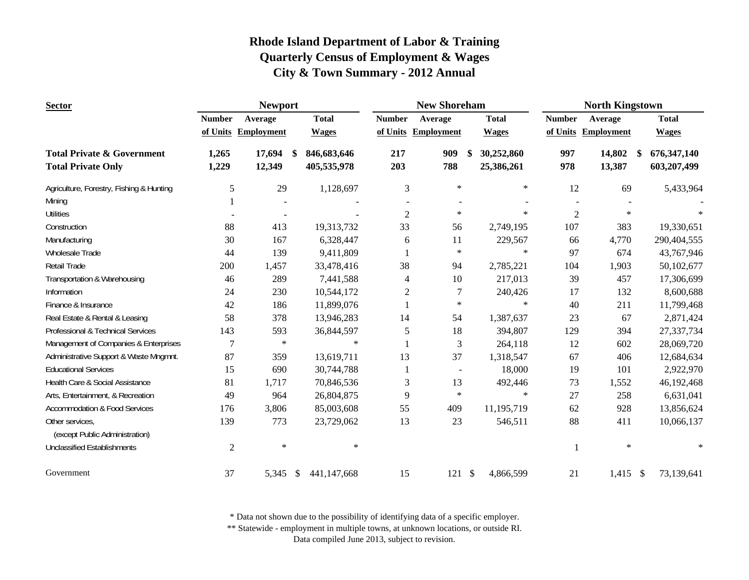| <b>Sector</b>                                                      |                | <b>Newport</b>      |                                  |                | <b>New Shoreham</b> |                                           | <b>North Kingstown</b> |                        |                              |
|--------------------------------------------------------------------|----------------|---------------------|----------------------------------|----------------|---------------------|-------------------------------------------|------------------------|------------------------|------------------------------|
|                                                                    | <b>Number</b>  | Average             | <b>Total</b>                     | <b>Number</b>  | Average             | <b>Total</b>                              | <b>Number</b>          | Average                | <b>Total</b>                 |
|                                                                    |                | of Units Employment | <b>Wages</b>                     |                | of Units Employment | <b>Wages</b>                              | of Units               | <b>Employment</b>      | <b>Wages</b>                 |
| <b>Total Private &amp; Government</b><br><b>Total Private Only</b> | 1,265<br>1,229 | 17,694<br>12,349    | 846,683,646<br>\$<br>405,535,978 | 217<br>203     | 909<br>788          | 30,252,860<br><sup>\$</sup><br>25,386,261 | 997<br>978             | 14,802<br>\$<br>13,387 | 676, 347, 140<br>603,207,499 |
| Agriculture, Forestry, Fishing & Hunting                           | 5              | 29                  | 1,128,697                        | 3              | $\ast$              | $\ast$                                    | 12                     | 69                     | 5,433,964                    |
| Mining                                                             |                |                     |                                  |                |                     |                                           |                        |                        |                              |
| <b>Utilities</b>                                                   |                | $\blacksquare$      |                                  | $\overline{2}$ | $\ast$              | $\ast$                                    | $\overline{c}$         | $\star$                | $\ast$                       |
| Construction                                                       | 88             | 413                 | 19,313,732                       | 33             | 56                  | 2,749,195                                 | 107                    | 383                    | 19,330,651                   |
| Manufacturing                                                      | 30             | 167                 | 6,328,447                        | 6              | 11                  | 229,567                                   | 66                     | 4,770                  | 290,404,555                  |
| <b>Wholesale Trade</b>                                             | 44             | 139                 | 9,411,809                        |                | $\ast$              | $\ast$                                    | 97                     | 674                    | 43,767,946                   |
| <b>Retail Trade</b>                                                | 200            | 1,457               | 33,478,416                       | 38             | 94                  | 2,785,221                                 | 104                    | 1,903                  | 50,102,677                   |
| Transportation & Warehousing                                       | 46             | 289                 | 7,441,588                        | 4              | 10                  | 217,013                                   | 39                     | 457                    | 17,306,699                   |
| Information                                                        | 24             | 230                 | 10,544,172                       | $\overline{c}$ | 7                   | 240,426                                   | 17                     | 132                    | 8,600,688                    |
| Finance & Insurance                                                | 42             | 186                 | 11,899,076                       |                | $\ast$              | $\ast$                                    | 40                     | 211                    | 11,799,468                   |
| Real Estate & Rental & Leasing                                     | 58             | 378                 | 13,946,283                       | 14             | 54                  | 1,387,637                                 | 23                     | 67                     | 2,871,424                    |
| Professional & Technical Services                                  | 143            | 593                 | 36,844,597                       | 5              | 18                  | 394,807                                   | 129                    | 394                    | 27,337,734                   |
| Management of Companies & Enterprises                              | 7              | $\star$             | $\ast$                           |                | 3                   | 264,118                                   | 12                     | 602                    | 28,069,720                   |
| Administrative Support & Waste Mngmnt.                             | 87             | 359                 | 13,619,711                       | 13             | 37                  | 1,318,547                                 | 67                     | 406                    | 12,684,634                   |
| <b>Educational Services</b>                                        | 15             | 690                 | 30,744,788                       |                | $\sim$              | 18,000                                    | 19                     | 101                    | 2,922,970                    |
| Health Care & Social Assistance                                    | 81             | 1,717               | 70,846,536                       | 3              | 13                  | 492,446                                   | 73                     | 1,552                  | 46,192,468                   |
| Arts, Entertainment, & Recreation                                  | 49             | 964                 | 26,804,875                       | 9              | $\ast$              | $\ast$                                    | 27                     | 258                    | 6,631,041                    |
| <b>Accommodation &amp; Food Services</b>                           | 176            | 3,806               | 85,003,608                       | 55             | 409                 | 11,195,719                                | 62                     | 928                    | 13,856,624                   |
| Other services,<br>(except Public Administration)                  | 139            | 773                 | 23,729,062                       | 13             | 23                  | 546,511                                   | 88                     | 411                    | 10,066,137                   |
| <b>Unclassified Establishments</b>                                 | $\overline{2}$ | $\ast$              | $\ast$                           |                |                     |                                           |                        | $\ast$                 | $\ast$                       |
| Government                                                         | 37             | 5,345               | 441,147,668<br>- \$              | 15             | 121                 | $\mathbb{S}$<br>4,866,599                 | 21                     | $1,415$ \$             | 73,139,641                   |

\* Data not shown due to the possibility of identifying data of a specific employer.

\*\* Statewide - employment in multiple towns, at unknown locations, or outside RI.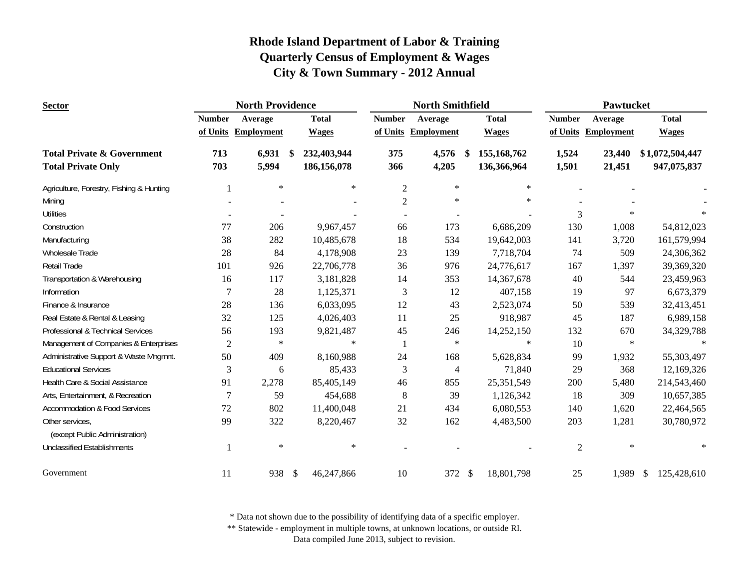| <b>Sector</b>                                     |                | <b>North Providence</b> |               | <b>North Smithfield</b> |                |                     |    | <b>Pawtucket</b> |                |                   |                                   |
|---------------------------------------------------|----------------|-------------------------|---------------|-------------------------|----------------|---------------------|----|------------------|----------------|-------------------|-----------------------------------|
|                                                   | <b>Number</b>  | Average                 |               | <b>Total</b>            | <b>Number</b>  | Average             |    | <b>Total</b>     | <b>Number</b>  | Average           | <b>Total</b>                      |
|                                                   |                | of Units Employment     |               | <b>Wages</b>            |                | of Units Employment |    | <b>Wages</b>     | of Units       | <b>Employment</b> | <b>Wages</b>                      |
| <b>Total Private &amp; Government</b>             | 713            | 6,931                   | -S            | 232,403,944             | 375            | 4,576               | -S | 155,168,762      | 1,524          | 23,440            | \$1,072,504,447                   |
| <b>Total Private Only</b>                         | 703            | 5,994                   |               | 186,156,078             | 366            | 4,205               |    | 136,366,964      | 1,501          | 21,451            | 947,075,837                       |
| Agriculture, Forestry, Fishing & Hunting          |                | $\ast$                  |               | $\star$                 | $\mathfrak{2}$ | $\ast$              |    | $\ast$           |                |                   |                                   |
| Mining                                            |                |                         |               |                         | $\mathbf{2}$   | $\ast$              |    | $\ast$           |                |                   |                                   |
| <b>Utilities</b>                                  |                |                         |               |                         |                |                     |    |                  | 3              | $\ast$            |                                   |
| Construction                                      | 77             | 206                     |               | 9,967,457               | 66             | 173                 |    | 6,686,209        | 130            | 1,008             | 54,812,023                        |
| Manufacturing                                     | 38             | 282                     |               | 10,485,678              | 18             | 534                 |    | 19,642,003       | 141            | 3,720             | 161,579,994                       |
| <b>Wholesale Trade</b>                            | 28             | 84                      |               | 4,178,908               | 23             | 139                 |    | 7,718,704        | 74             | 509               | 24,306,362                        |
| Retail Trade                                      | 101            | 926                     |               | 22,706,778              | 36             | 976                 |    | 24,776,617       | 167            | 1,397             | 39,369,320                        |
| Transportation & Warehousing                      | 16             | 117                     |               | 3,181,828               | 14             | 353                 |    | 14,367,678       | 40             | 544               | 23,459,963                        |
| Information                                       | 7              | 28                      |               | 1,125,371               | $\mathfrak{Z}$ | 12                  |    | 407,158          | 19             | 97                | 6,673,379                         |
| Finance & Insurance                               | 28             | 136                     |               | 6,033,095               | 12             | 43                  |    | 2,523,074        | 50             | 539               | 32,413,451                        |
| Real Estate & Rental & Leasing                    | 32             | 125                     |               | 4,026,403               | 11             | 25                  |    | 918,987          | 45             | 187               | 6,989,158                         |
| Professional & Technical Services                 | 56             | 193                     |               | 9,821,487               | 45             | 246                 |    | 14,252,150       | 132            | 670               | 34,329,788                        |
| Management of Companies & Enterprises             | $\overline{c}$ | $\ast$                  |               | $\star$                 | -1             | $\ast$              |    | $\ast$           | 10             | $\ast$            | $\ast$                            |
| Administrative Support & Waste Mngmnt.            | 50             | 409                     |               | 8,160,988               | 24             | 168                 |    | 5,628,834        | 99             | 1,932             | 55,303,497                        |
| <b>Educational Services</b>                       | 3              | 6                       |               | 85,433                  | 3              | 4                   |    | 71,840           | 29             | 368               | 12,169,326                        |
| Health Care & Social Assistance                   | 91             | 2,278                   |               | 85,405,149              | 46             | 855                 |    | 25,351,549       | 200            | 5,480             | 214,543,460                       |
| Arts, Entertainment, & Recreation                 | 7              | 59                      |               | 454,688                 | 8              | 39                  |    | 1,126,342        | 18             | 309               | 10,657,385                        |
| <b>Accommodation &amp; Food Services</b>          | 72             | 802                     |               | 11,400,048              | 21             | 434                 |    | 6,080,553        | 140            | 1,620             | 22,464,565                        |
| Other services.<br>(except Public Administration) | 99             | 322                     |               | 8,220,467               | 32             | 162                 |    | 4,483,500        | 203            | 1,281             | 30,780,972                        |
| <b>Unclassified Establishments</b>                |                | $\ast$                  |               | $\ast$                  |                |                     |    |                  | $\overline{2}$ | $\star$           | $\ast$                            |
| Government                                        | 11             | 938                     | $\mathcal{S}$ | 46,247,866              | 10             | 372 \$              |    | 18,801,798       | 25             | 1,989             | 125,428,610<br>$\mathbf{\hat{S}}$ |

\* Data not shown due to the possibility of identifying data of a specific employer.

\*\* Statewide - employment in multiple towns, at unknown locations, or outside RI.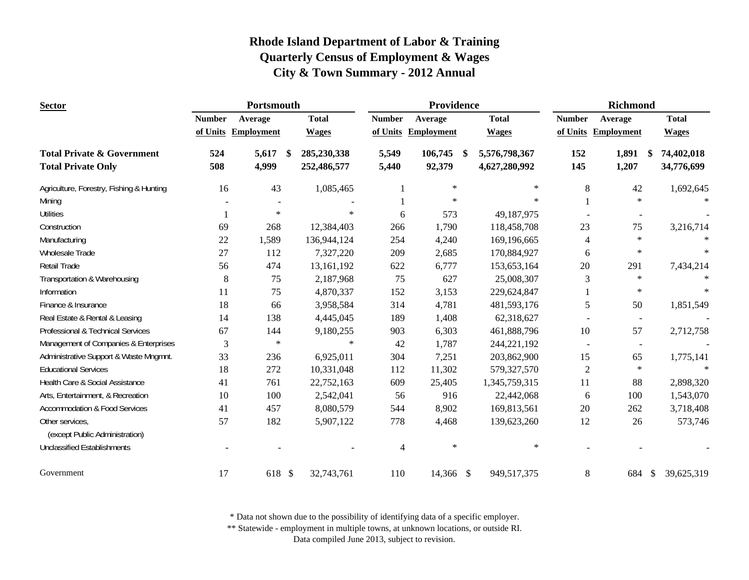| <b>Sector</b>                                     |               | Portsmouth        |                     |               | Providence        |                     | Richmond       |                          |                             |
|---------------------------------------------------|---------------|-------------------|---------------------|---------------|-------------------|---------------------|----------------|--------------------------|-----------------------------|
|                                                   | <b>Number</b> | Average           | <b>Total</b>        | <b>Number</b> | Average           | <b>Total</b>        | <b>Number</b>  | Average                  | <b>Total</b>                |
|                                                   | of Units      | <b>Employment</b> | <b>Wages</b>        | of Units      | <b>Employment</b> | <b>Wages</b>        | of Units       | Employment               | <b>Wages</b>                |
| <b>Total Private &amp; Government</b>             | 524           | 5,617             | 285,230,338<br>- \$ | 5,549         | 106,745           | 5,576,798,367<br>-S | 152            | 1,891                    | 74,402,018<br>- \$          |
| <b>Total Private Only</b>                         | 508           | 4,999             | 252,486,577         | 5,440         | 92,379            | 4,627,280,992       | 145            | 1,207                    | 34,776,699                  |
| Agriculture, Forestry, Fishing & Hunting          | 16            | 43                | 1,085,465           |               | $\ast$            | $\ast$              | 8              | 42                       | 1,692,645                   |
| Mining                                            |               |                   |                     |               | $\star$           | $\ast$              |                | $\ast$                   | $\ast$                      |
| <b>Utilities</b>                                  |               | $\ast$            | $\ast$              | 6             | 573               | 49,187,975          |                |                          |                             |
| Construction                                      | 69            | 268               | 12,384,403          | 266           | 1,790             | 118,458,708         | 23             | 75                       | 3,216,714                   |
| Manufacturing                                     | 22            | 1,589             | 136,944,124         | 254           | 4,240             | 169,196,665         | 4              | $\ast$                   |                             |
| <b>Wholesale Trade</b>                            | 27            | 112               | 7,327,220           | 209           | 2,685             | 170,884,927         | 6              | $\ast$                   | $\ast$                      |
| Retail Trade                                      | 56            | 474               | 13,161,192          | 622           | 6,777             | 153,653,164         | 20             | 291                      | 7,434,214                   |
| Transportation & Warehousing                      | 8             | 75                | 2,187,968           | 75            | 627               | 25,008,307          | 3              | $\ast$                   |                             |
| Information                                       | 11            | 75                | 4,870,337           | 152           | 3,153             | 229,624,847         |                | $\ast$                   | $\ast$                      |
| Finance & Insurance                               | 18            | 66                | 3,958,584           | 314           | 4,781             | 481,593,176         | 5              | 50                       | 1,851,549                   |
| Real Estate & Rental & Leasing                    | 14            | 138               | 4,445,045           | 189           | 1,408             | 62,318,627          |                | $\sim$                   |                             |
| Professional & Technical Services                 | 67            | 144               | 9,180,255           | 903           | 6,303             | 461,888,796         | 10             | 57                       | 2,712,758                   |
| Management of Companies & Enterprises             | 3             | $\ast$            | $\star$             | 42            | 1,787             | 244,221,192         | $\blacksquare$ | $\overline{\phantom{a}}$ |                             |
| Administrative Support & Waste Mngmnt.            | 33            | 236               | 6,925,011           | 304           | 7,251             | 203,862,900         | 15             | 65                       | 1,775,141                   |
| <b>Educational Services</b>                       | 18            | 272               | 10,331,048          | 112           | 11,302            | 579,327,570         | $\overline{2}$ | $\ast$                   | $\ast$                      |
| Health Care & Social Assistance                   | 41            | 761               | 22,752,163          | 609           | 25,405            | 1,345,759,315       | 11             | 88                       | 2,898,320                   |
| Arts, Entertainment, & Recreation                 | 10            | 100               | 2,542,041           | 56            | 916               | 22,442,068          | 6              | 100                      | 1,543,070                   |
| <b>Accommodation &amp; Food Services</b>          | 41            | 457               | 8,080,579           | 544           | 8,902             | 169,813,561         | 20             | 262                      | 3,718,408                   |
| Other services,<br>(except Public Administration) | 57            | 182               | 5,907,122           | 778           | 4,468             | 139,623,260         | 12             | 26                       | 573,746                     |
| <b>Unclassified Establishments</b>                |               |                   |                     | 4             | $\ast$            | $\ast$              |                |                          |                             |
| Government                                        | 17            | 618 \$            | 32,743,761          | 110           | 14,366 \$         | 949,517,375         | 8              | 684                      | 39,625,319<br>$\mathcal{S}$ |

\* Data not shown due to the possibility of identifying data of a specific employer.

\*\* Statewide - employment in multiple towns, at unknown locations, or outside RI.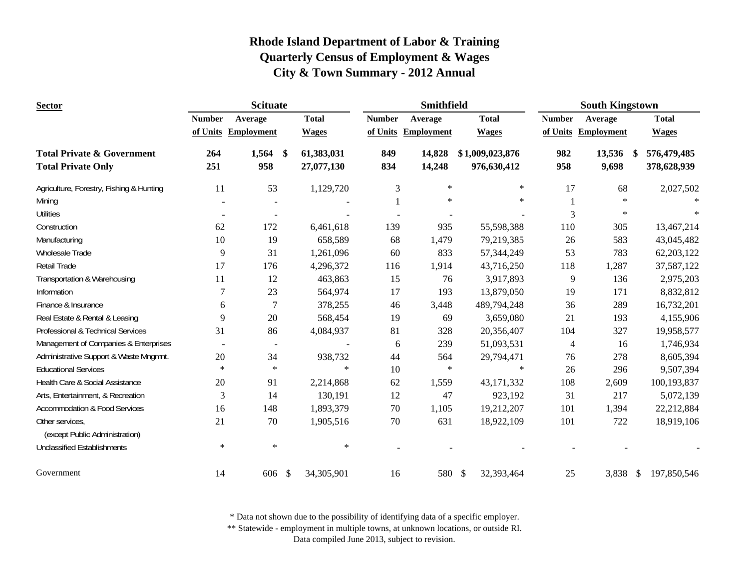| <b>Sector</b>                                                      |               | <b>Scituate</b>      |                          |               | <b>Smithfield</b>   |                                | <b>South Kingstown</b> |                                  |                            |
|--------------------------------------------------------------------|---------------|----------------------|--------------------------|---------------|---------------------|--------------------------------|------------------------|----------------------------------|----------------------------|
|                                                                    | <b>Number</b> | Average              | <b>Total</b>             | <b>Number</b> | Average             | <b>Total</b>                   | <b>Number</b>          | Average                          | <b>Total</b>               |
|                                                                    |               | of Units Employment  | <b>Wages</b>             |               | of Units Employment | <b>Wages</b>                   |                        | of Units Employment              | <b>Wages</b>               |
| <b>Total Private &amp; Government</b><br><b>Total Private Only</b> | 264<br>251    | 1,564<br>-SS<br>958  | 61,383,031<br>27,077,130 | 849<br>834    | 14,828<br>14,248    | \$1,009,023,876<br>976,630,412 | 982<br>958             | 13,536<br><sup>\$</sup><br>9,698 | 576,479,485<br>378,628,939 |
| Agriculture, Forestry, Fishing & Hunting                           | 11            | 53                   | 1,129,720                | 3             | $\ast$              | $\ast$                         | 17                     | 68                               | 2,027,502                  |
| Mining                                                             |               |                      |                          |               | $\ast$              | $\ast$                         |                        | $\star$                          |                            |
| <b>Utilities</b>                                                   |               |                      |                          |               |                     |                                | 3                      | $\ast$                           |                            |
| Construction                                                       | 62            | 172                  | 6,461,618                | 139           | 935                 | 55,598,388                     | 110                    | 305                              | 13,467,214                 |
| Manufacturing                                                      | 10            | 19                   | 658,589                  | 68            | 1,479               | 79,219,385                     | 26                     | 583                              | 43,045,482                 |
| Wholesale Trade                                                    | 9             | 31                   | 1,261,096                | 60            | 833                 | 57,344,249                     | 53                     | 783                              | 62, 203, 122               |
| <b>Retail Trade</b>                                                | 17            | 176                  | 4,296,372                | 116           | 1,914               | 43,716,250                     | 118                    | 1,287                            | 37,587,122                 |
| Transportation & Warehousing                                       | 11            | 12                   | 463,863                  | 15            | 76                  | 3,917,893                      | 9                      | 136                              | 2,975,203                  |
| Information                                                        | 7             | 23                   | 564,974                  | 17            | 193                 | 13,879,050                     | 19                     | 171                              | 8,832,812                  |
| Finance & Insurance                                                | 6             | 7                    | 378,255                  | 46            | 3,448               | 489,794,248                    | 36                     | 289                              | 16,732,201                 |
| Real Estate & Rental & Leasing                                     | 9             | 20                   | 568,454                  | 19            | 69                  | 3,659,080                      | 21                     | 193                              | 4,155,906                  |
| Professional & Technical Services                                  | 31            | 86                   | 4,084,937                | 81            | 328                 | 20,356,407                     | 104                    | 327                              | 19,958,577                 |
| Management of Companies & Enterprises                              |               | $\blacksquare$       | $\overline{a}$           | 6             | 239                 | 51,093,531                     | $\overline{4}$         | 16                               | 1,746,934                  |
| Administrative Support & Waste Mngmnt.                             | $20\,$        | 34                   | 938,732                  | 44            | 564                 | 29,794,471                     | 76                     | 278                              | 8,605,394                  |
| <b>Educational Services</b>                                        | $\ast$        | $\ast$               | $\ast$                   | 10            | $\ast$              | $\ast$                         | 26                     | 296                              | 9,507,394                  |
| Health Care & Social Assistance                                    | 20            | 91                   | 2,214,868                | 62            | 1,559               | 43,171,332                     | 108                    | 2,609                            | 100,193,837                |
| Arts, Entertainment, & Recreation                                  | 3             | 14                   | 130,191                  | 12            | 47                  | 923,192                        | 31                     | 217                              | 5,072,139                  |
| <b>Accommodation &amp; Food Services</b>                           | 16            | 148                  | 1,893,379                | 70            | 1,105               | 19,212,207                     | 101                    | 1,394                            | 22,212,884                 |
| Other services,<br>(except Public Administration)                  | 21            | 70                   | 1,905,516                | 70            | 631                 | 18,922,109                     | 101                    | 722                              | 18,919,106                 |
| <b>Unclassified Establishments</b>                                 | $\ast$        | $\ast$               | $\ast$                   |               |                     |                                |                        |                                  |                            |
| Government                                                         | 14            | 606<br>$\mathcal{S}$ | 34,305,901               | 16            | 580 \$              | 32,393,464                     | 25                     | 3,838 \$                         | 197,850,546                |

\* Data not shown due to the possibility of identifying data of a specific employer.

\*\* Statewide - employment in multiple towns, at unknown locations, or outside RI.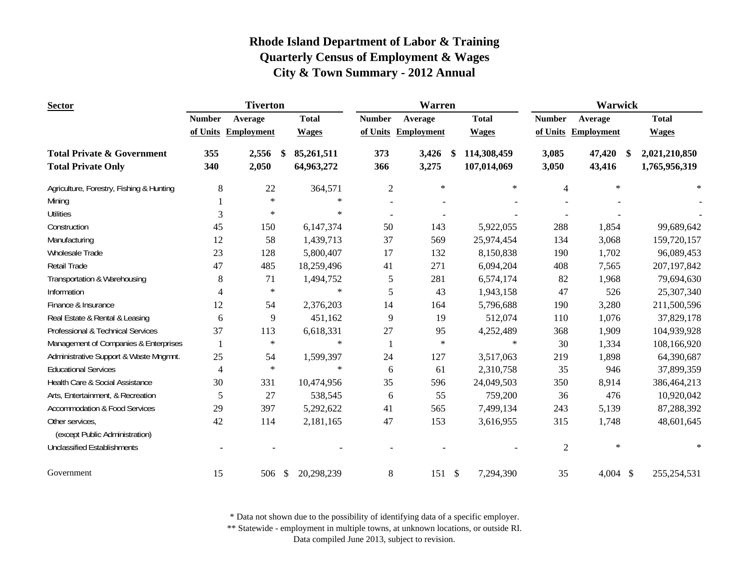| <b>Sector</b>                            |                          | <b>Tiverton</b>   |                             |                | <b>Warren</b>     |                            | <b>Warwick</b> |                     |               |  |
|------------------------------------------|--------------------------|-------------------|-----------------------------|----------------|-------------------|----------------------------|----------------|---------------------|---------------|--|
|                                          | <b>Number</b>            | Average           | <b>Total</b>                | <b>Number</b>  | Average           | <b>Total</b>               | <b>Number</b>  | Average             | <b>Total</b>  |  |
|                                          | of Units                 | <b>Employment</b> | <b>Wages</b>                | of Units       | <b>Employment</b> | <b>Wages</b>               |                | of Units Employment | <b>Wages</b>  |  |
| <b>Total Private &amp; Government</b>    | 355                      | 2,556             | 85,261,511<br>\$            | 373            | 3,426             | 114,308,459<br>\$          | 3,085          | 47,420<br>-S        | 2,021,210,850 |  |
| <b>Total Private Only</b>                | 340                      | 2,050             | 64,963,272                  | 366            | 3,275             | 107,014,069                | 3,050          | 43,416              | 1,765,956,319 |  |
| Agriculture, Forestry, Fishing & Hunting | 8                        | 22                | 364,571                     | $\overline{2}$ | $\ast$            | $\ast$                     | $\overline{4}$ | $\ast$              | $\ast$        |  |
| Mining                                   |                          | $\ast$            | $\ast$                      |                |                   |                            |                |                     |               |  |
| <b>Utilities</b>                         | 3                        | $\ast$            | $\ast$                      | $\blacksquare$ |                   |                            |                |                     |               |  |
| Construction                             | 45                       | 150               | 6,147,374                   | 50             | 143               | 5,922,055                  | 288            | 1,854               | 99,689,642    |  |
| Manufacturing                            | 12                       | 58                | 1,439,713                   | 37             | 569               | 25,974,454                 | 134            | 3,068               | 159,720,157   |  |
| Wholesale Trade                          | 23                       | 128               | 5,800,407                   | 17             | 132               | 8,150,838                  | 190            | 1,702               | 96,089,453    |  |
| Retail Trade                             | 47                       | 485               | 18,259,496                  | 41             | 271               | 6,094,204                  | 408            | 7,565               | 207, 197, 842 |  |
| Transportation & Warehousing             | 8                        | 71                | 1,494,752                   | 5              | 281               | 6,574,174                  | 82             | 1,968               | 79,694,630    |  |
| Information                              | 4                        | $\ast$            | $\ast$                      | 5              | 43                | 1,943,158                  | 47             | 526                 | 25,307,340    |  |
| Finance & Insurance                      | 12                       | 54                | 2,376,203                   | 14             | 164               | 5,796,688                  | 190            | 3,280               | 211,500,596   |  |
| Real Estate & Rental & Leasing           | 6                        | 9                 | 451,162                     | 9              | 19                | 512,074                    | 110            | 1,076               | 37,829,178    |  |
| Professional & Technical Services        | 37                       | 113               | 6,618,331                   | 27             | 95                | 4,252,489                  | 368            | 1,909               | 104,939,928   |  |
| Management of Companies & Enterprises    | -1                       | $\ast$            | $\ast$                      |                | $\ast$            | $\ast$                     | 30             | 1,334               | 108,166,920   |  |
| Administrative Support & Waste Mngmnt.   | 25                       | 54                | 1,599,397                   | 24             | 127               | 3,517,063                  | 219            | 1,898               | 64,390,687    |  |
| <b>Educational Services</b>              | $\overline{\mathcal{L}}$ | $\ast$            | $\ast$                      | 6              | 61                | 2,310,758                  | 35             | 946                 | 37,899,359    |  |
| Health Care & Social Assistance          | 30                       | 331               | 10,474,956                  | 35             | 596               | 24,049,503                 | 350            | 8,914               | 386,464,213   |  |
| Arts, Entertainment, & Recreation        | 5                        | 27                | 538,545                     | 6              | 55                | 759,200                    | 36             | 476                 | 10,920,042    |  |
| <b>Accommodation &amp; Food Services</b> | 29                       | 397               | 5,292,622                   | 41             | 565               | 7,499,134                  | 243            | 5,139               | 87,288,392    |  |
| Other services,                          | 42                       | 114               | 2,181,165                   | 47             | 153               | 3,616,955                  | 315            | 1,748               | 48,601,645    |  |
| (except Public Administration)           |                          |                   |                             |                |                   |                            |                |                     |               |  |
| <b>Unclassified Establishments</b>       |                          |                   |                             |                |                   |                            | $\mathfrak{2}$ | $\ast$              | $\ast$        |  |
| Government                               | 15                       | 506               | $\mathcal{S}$<br>20,298,239 | 8              | 151               | $\mathcal{S}$<br>7,294,390 | 35             | 4,004 \$            | 255, 254, 531 |  |

\* Data not shown due to the possibility of identifying data of a specific employer.

\*\* Statewide - employment in multiple towns, at unknown locations, or outside RI.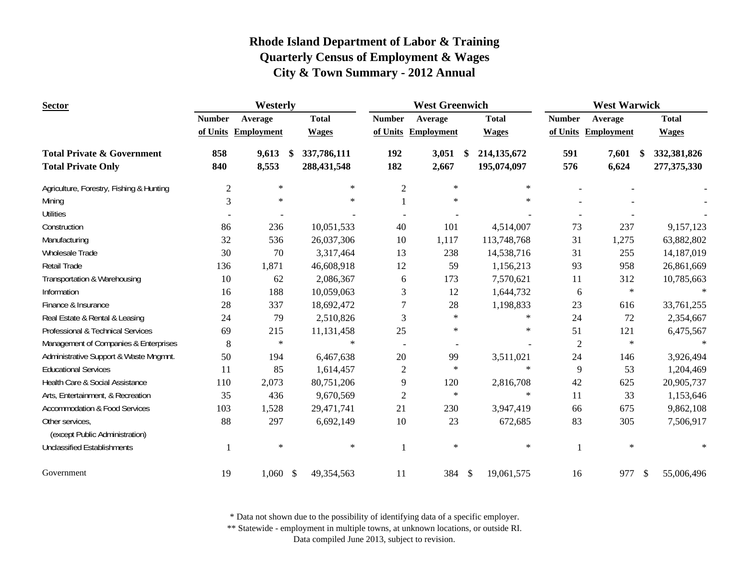| <b>Sector</b>                                     | Westerly       |                     |    |              |                  | <b>West Greenwich</b> |               |               | <b>West Warwick</b> |                        |     |              |
|---------------------------------------------------|----------------|---------------------|----|--------------|------------------|-----------------------|---------------|---------------|---------------------|------------------------|-----|--------------|
|                                                   | <b>Number</b>  | Average             |    | <b>Total</b> | <b>Number</b>    | Average               |               | <b>Total</b>  | <b>Number</b>       | Average                |     | <b>Total</b> |
|                                                   |                | of Units Employment |    | <b>Wages</b> |                  | of Units Employment   |               | <b>Wages</b>  |                     | of Units Employment    |     | <b>Wages</b> |
| <b>Total Private &amp; Government</b>             | 858            | 9,613               | S. | 337,786,111  | 192              | 3,051                 | <sup>\$</sup> | 214, 135, 672 | 591                 | 7,601<br><sup>\$</sup> |     | 332,381,826  |
| <b>Total Private Only</b>                         | 840            | 8,553               |    | 288,431,548  | 182              | 2,667                 |               | 195,074,097   | 576                 | 6,624                  |     | 277,375,330  |
| Agriculture, Forestry, Fishing & Hunting          | $\mathfrak{2}$ | $\ast$              |    | $\star$      | $\sqrt{2}$       | $\ast$                |               | $\ast$        |                     |                        |     |              |
| Mining                                            | 3              | $\ast$              |    | $\ast$       |                  | $\ast$                |               | $*$           |                     |                        |     |              |
| <b>Utilities</b>                                  |                |                     |    |              |                  |                       |               |               |                     |                        |     |              |
| Construction                                      | 86             | 236                 |    | 10,051,533   | 40               | 101                   |               | 4,514,007     | 73                  | 237                    |     | 9,157,123    |
| Manufacturing                                     | 32             | 536                 |    | 26,037,306   | 10               | 1,117                 |               | 113,748,768   | 31                  | 1,275                  |     | 63,882,802   |
| Wholesale Trade                                   | 30             | 70                  |    | 3,317,464    | 13               | 238                   |               | 14,538,716    | 31                  | 255                    |     | 14,187,019   |
| Retail Trade                                      | 136            | 1,871               |    | 46,608,918   | 12               | 59                    |               | 1,156,213     | 93                  | 958                    |     | 26,861,669   |
| Transportation & Warehousing                      | 10             | 62                  |    | 2,086,367    | 6                | 173                   |               | 7,570,621     | 11                  | 312                    |     | 10,785,663   |
| Information                                       | 16             | 188                 |    | 10,059,063   | 3                | 12                    |               | 1,644,732     | 6                   | $\ast$                 |     |              |
| Finance & Insurance                               | 28             | 337                 |    | 18,692,472   | 7                | 28                    |               | 1,198,833     | 23                  | 616                    |     | 33,761,255   |
| Real Estate & Rental & Leasing                    | 24             | 79                  |    | 2,510,826    | 3                | $\ast$                |               | $\ast$        | 24                  | 72                     |     | 2,354,667    |
| Professional & Technical Services                 | 69             | 215                 |    | 11,131,458   | 25               | $\ast$                |               | $\ast$        | 51                  | 121                    |     | 6,475,567    |
| Management of Companies & Enterprises             | $8\,$          | $\ast$              |    | $\ast$       | $\sim$           |                       |               |               | $\overline{2}$      | $\ast$                 |     | $\ast$       |
| Administrative Support & Waste Mngmnt.            | 50             | 194                 |    | 6,467,638    | 20               | 99                    |               | 3,511,021     | 24                  | 146                    |     | 3,926,494    |
| <b>Educational Services</b>                       | 11             | 85                  |    | 1,614,457    | $\boldsymbol{2}$ | $\ast$                |               | $\ast$        | 9                   | 53                     |     | 1,204,469    |
| Health Care & Social Assistance                   | 110            | 2,073               |    | 80,751,206   | 9                | 120                   |               | 2,816,708     | 42                  | 625                    |     | 20,905,737   |
| Arts, Entertainment, & Recreation                 | 35             | 436                 |    | 9,670,569    | $\boldsymbol{2}$ | $\ast$                |               | $\ast$        | 11                  | 33                     |     | 1,153,646    |
| <b>Accommodation &amp; Food Services</b>          | 103            | 1,528               |    | 29,471,741   | 21               | 230                   |               | 3,947,419     | 66                  | 675                    |     | 9,862,108    |
| Other services,<br>(except Public Administration) | 88             | 297                 |    | 6,692,149    | $10\,$           | 23                    |               | 672,685       | 83                  | 305                    |     | 7,506,917    |
| <b>Unclassified Establishments</b>                |                | $\ast$              |    | $\ast$       | $\mathbf{1}$     | $\ast$                |               | $\ast$        |                     | $\ast$                 |     | $\ast$       |
| Government                                        | 19             | $1,060$ \$          |    | 49,354,563   | 11               | 384 \$                |               | 19,061,575    | 16                  | 977                    | -\$ | 55,006,496   |

\* Data not shown due to the possibility of identifying data of a specific employer.

\*\* Statewide - employment in multiple towns, at unknown locations, or outside RI.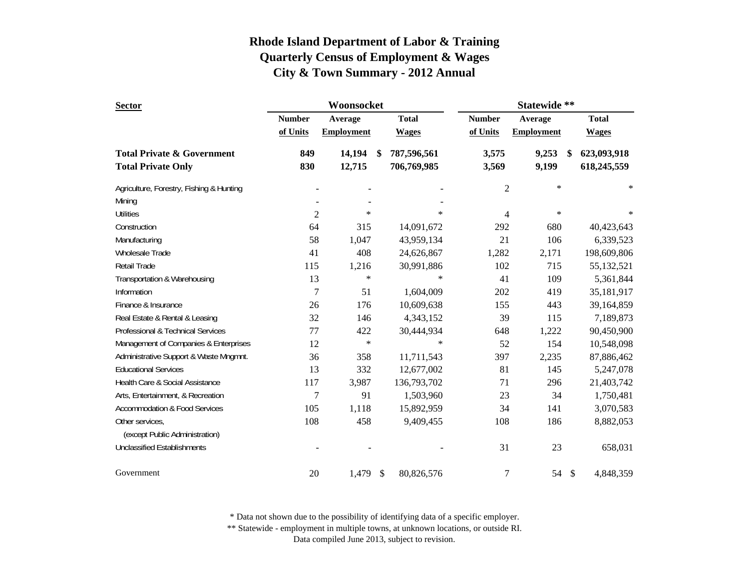| <b>Sector</b>                            |                | Woonsocket        |               |              | Statewide **  |                   |               |              |  |
|------------------------------------------|----------------|-------------------|---------------|--------------|---------------|-------------------|---------------|--------------|--|
|                                          | <b>Number</b>  | Average           |               | <b>Total</b> | <b>Number</b> | Average           |               | <b>Total</b> |  |
|                                          | of Units       | <b>Employment</b> |               | <b>Wages</b> | of Units      | <b>Employment</b> |               | <b>Wages</b> |  |
| <b>Total Private &amp; Government</b>    | 849            | 14,194            | <sup>\$</sup> | 787,596,561  | 3,575         | 9,253             | \$            | 623,093,918  |  |
| <b>Total Private Only</b>                | 830            | 12,715            |               | 706,769,985  | 3,569         | 9,199             |               | 618,245,559  |  |
| Agriculture, Forestry, Fishing & Hunting |                |                   |               |              | $\mathbf{2}$  | $\ast$            |               | $\ast$       |  |
| Mining                                   |                |                   |               |              |               |                   |               |              |  |
| <b>Utilities</b>                         | $\overline{2}$ | $\ast$            |               | $\ast$       | 4             | $\ast$            |               | $\ast$       |  |
| Construction                             | 64             | 315               |               | 14,091,672   | 292           | 680               |               | 40,423,643   |  |
| Manufacturing                            | 58             | 1,047             |               | 43,959,134   | 21            | 106               |               | 6,339,523    |  |
| Wholesale Trade                          | 41             | 408               |               | 24,626,867   | 1,282         | 2,171             |               | 198,609,806  |  |
| Retail Trade                             | 115            | 1,216             |               | 30,991,886   | 102           | 715               |               | 55,132,521   |  |
| Transportation & Warehousing             | 13             | $\ast$            |               | $\ast$       | 41            | 109               |               | 5,361,844    |  |
| Information                              | 7              | 51                |               | 1,604,009    | 202           | 419               |               | 35,181,917   |  |
| Finance & Insurance                      | 26             | 176               |               | 10,609,638   | 155           | 443               |               | 39,164,859   |  |
| Real Estate & Rental & Leasing           | 32             | 146               |               | 4,343,152    | 39            | 115               |               | 7,189,873    |  |
| Professional & Technical Services        | 77             | 422               |               | 30,444,934   | 648           | 1,222             |               | 90,450,900   |  |
| Management of Companies & Enterprises    | 12             | $\ast$            |               | $\ast$       | 52            | 154               |               | 10,548,098   |  |
| Administrative Support & Waste Mngmnt.   | 36             | 358               |               | 11,711,543   | 397           | 2,235             |               | 87,886,462   |  |
| <b>Educational Services</b>              | 13             | 332               |               | 12,677,002   | 81            | 145               |               | 5,247,078    |  |
| Health Care & Social Assistance          | 117            | 3,987             |               | 136,793,702  | 71            | 296               |               | 21,403,742   |  |
| Arts, Entertainment, & Recreation        | 7              | 91                |               | 1,503,960    | 23            | 34                |               | 1,750,481    |  |
| <b>Accommodation &amp; Food Services</b> | 105            | 1,118             |               | 15,892,959   | 34            | 141               |               | 3,070,583    |  |
| Other services,                          | 108            | 458               |               | 9,409,455    | 108           | 186               |               | 8,882,053    |  |
| (except Public Administration)           |                |                   |               |              |               |                   |               |              |  |
| <b>Unclassified Establishments</b>       |                |                   |               |              | 31            | 23                |               | 658,031      |  |
| Government                               | 20             | 1,479             | \$            | 80,826,576   | 7             | 54                | $\mathcal{S}$ | 4,848,359    |  |

\* Data not shown due to the possibility of identifying data of a specific employer.

\*\* Statewide - employment in multiple towns, at unknown locations, or outside RI.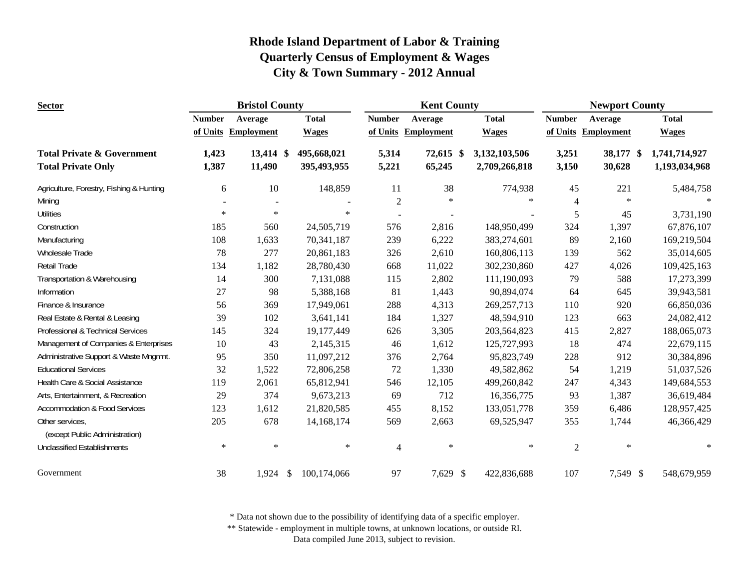| <b>Sector</b>                                     |               | <b>Bristol County</b> |              |                | <b>Kent County</b>  |               | <b>Newport County</b> |                     |               |  |
|---------------------------------------------------|---------------|-----------------------|--------------|----------------|---------------------|---------------|-----------------------|---------------------|---------------|--|
|                                                   | <b>Number</b> | Average               | <b>Total</b> | <b>Number</b>  | Average             | <b>Total</b>  | <b>Number</b>         | Average             | <b>Total</b>  |  |
|                                                   |               | of Units Employment   | <b>Wages</b> |                | of Units Employment | <b>Wages</b>  |                       | of Units Employment | <b>Wages</b>  |  |
| <b>Total Private &amp; Government</b>             | 1,423         | 13,414 \$             | 495,668,021  | 5,314          | 72,615 \$           | 3,132,103,506 | 3,251                 | 38,177 \$           | 1,741,714,927 |  |
| <b>Total Private Only</b>                         | 1,387         | 11,490                | 395,493,955  | 5,221          | 65,245              | 2,709,266,818 | 3,150                 | 30,628              | 1,193,034,968 |  |
| Agriculture, Forestry, Fishing & Hunting          | 6             | 10                    | 148,859      | 11             | 38                  | 774,938       | 45                    | 221                 | 5,484,758     |  |
| Mining                                            |               |                       |              | $\overline{2}$ | $\ast$              | $\ast$        | 4                     | $\ast$              | $\ast$        |  |
| <b>Utilities</b>                                  | $\ast$        | $\ast$                | $\ast$       |                |                     |               | 5                     | 45                  | 3,731,190     |  |
| Construction                                      | 185           | 560                   | 24,505,719   | 576            | 2,816               | 148,950,499   | 324                   | 1,397               | 67,876,107    |  |
| Manufacturing                                     | 108           | 1,633                 | 70,341,187   | 239            | 6,222               | 383,274,601   | 89                    | 2,160               | 169,219,504   |  |
| Wholesale Trade                                   | 78            | 277                   | 20,861,183   | 326            | 2,610               | 160,806,113   | 139                   | 562                 | 35,014,605    |  |
| <b>Retail Trade</b>                               | 134           | 1,182                 | 28,780,430   | 668            | 11,022              | 302,230,860   | 427                   | 4,026               | 109,425,163   |  |
| Transportation & Warehousing                      | 14            | 300                   | 7,131,088    | 115            | 2,802               | 111,190,093   | 79                    | 588                 | 17,273,399    |  |
| Information                                       | 27            | 98                    | 5,388,168    | 81             | 1,443               | 90,894,074    | 64                    | 645                 | 39,943,581    |  |
| Finance & Insurance                               | 56            | 369                   | 17,949,061   | 288            | 4,313               | 269, 257, 713 | 110                   | 920                 | 66,850,036    |  |
| Real Estate & Rental & Leasing                    | 39            | 102                   | 3,641,141    | 184            | 1,327               | 48,594,910    | 123                   | 663                 | 24,082,412    |  |
| Professional & Technical Services                 | 145           | 324                   | 19,177,449   | 626            | 3,305               | 203,564,823   | 415                   | 2,827               | 188,065,073   |  |
| Management of Companies & Enterprises             | 10            | 43                    | 2,145,315    | 46             | 1,612               | 125,727,993   | 18                    | 474                 | 22,679,115    |  |
| Administrative Support & Waste Mngmnt.            | 95            | 350                   | 11,097,212   | 376            | 2,764               | 95,823,749    | 228                   | 912                 | 30,384,896    |  |
| <b>Educational Services</b>                       | 32            | 1,522                 | 72,806,258   | 72             | 1,330               | 49,582,862    | 54                    | 1,219               | 51,037,526    |  |
| Health Care & Social Assistance                   | 119           | 2,061                 | 65,812,941   | 546            | 12,105              | 499,260,842   | 247                   | 4,343               | 149,684,553   |  |
| Arts, Entertainment, & Recreation                 | 29            | 374                   | 9,673,213    | 69             | 712                 | 16,356,775    | 93                    | 1,387               | 36,619,484    |  |
| <b>Accommodation &amp; Food Services</b>          | 123           | 1,612                 | 21,820,585   | 455            | 8,152               | 133,051,778   | 359                   | 6,486               | 128,957,425   |  |
| Other services,<br>(except Public Administration) | 205           | 678                   | 14, 168, 174 | 569            | 2,663               | 69,525,947    | 355                   | 1,744               | 46,366,429    |  |
| <b>Unclassified Establishments</b>                | $\ast$        | $\ast$                | $\ast$       | 4              | $\ast$              | $\ast$        | $\overline{2}$        | $\ast$              | $\ast$        |  |
| Government                                        | 38            | $1,924$ \$            | 100,174,066  | 97             | 7,629 \$            | 422,836,688   | 107                   | 7,549 \$            | 548,679,959   |  |

\* Data not shown due to the possibility of identifying data of a specific employer.

\*\* Statewide - employment in multiple towns, at unknown locations, or outside RI.